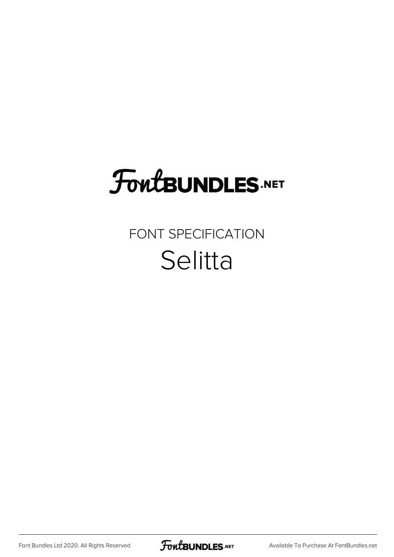## **FoutBUNDLES.NET**

## FONT SPECIFICATION Selitta

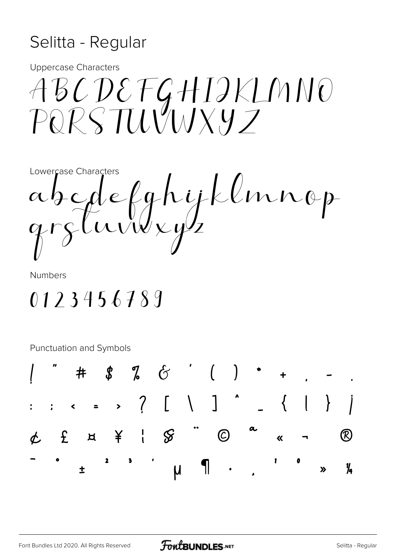## Selitta - Regular

**Uppercase Characters** 

ABCDEFGHIJKLMNO<br>PQRSTUVWXYZ

Lowercase Characters abedefghytlung

**Numbers** 

0123456789

**Punctuation and Symbols** 

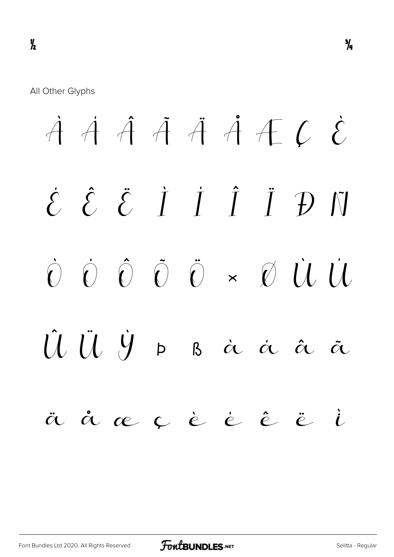$\dot{A}$   $\dot{A}$   $\ddot{A}$   $\ddot{A}$   $\ddot{A}$   $\ddot{C}$   $\dot{C}$ É Ê Ë Ì Í Î Ï Ð Ñ Ò Ó Ô Õ Ö × Ø Ù Ú Û Ü Ý Þ ß à á â ã ä å æ ç è é ê ë ì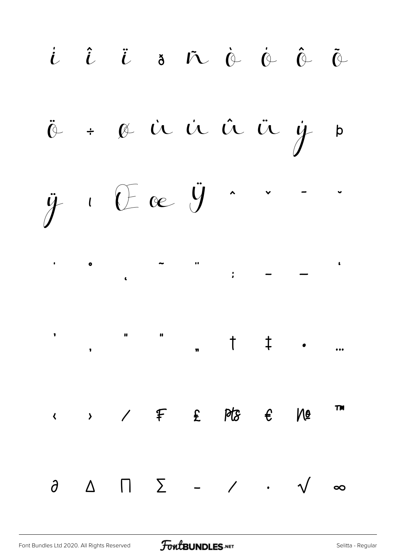í î ï ð ñ ò ó ô õ ö ÷ ø ù ú û ü ý þ  $\ddot{y}$  i  $\theta$  ac  $\ddot{y}$  .  $\overline{\phantom{a}}$  ,  $\overline{\phantom{a}}$  ,  $\overline{\phantom{a}}$  ,  $\overline{\phantom{a}}$  ,  $\overline{\phantom{a}}$  ,  $\overline{\phantom{a}}$  ,  $\overline{\phantom{a}}$  ,  $\overline{\phantom{a}}$  ,  $\overline{\phantom{a}}$  ,  $\overline{\phantom{a}}$  ,  $\overline{\phantom{a}}$  ,  $\overline{\phantom{a}}$  ,  $\overline{\phantom{a}}$  ,  $\overline{\phantom{a}}$  ,  $\overline{\phantom{a}}$  ,  $\overline{\phantom{a}}$ ' " " " † ‡ • …  $\longleftrightarrow$  /  $\in$   $\mathbb{P}S$   $\in$   $\mathbb{P}B$ ∂ ∆ ∏ ∑ − ∕ ∙ √ ∞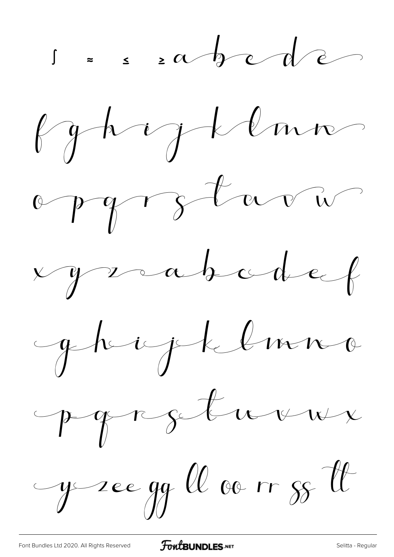









y see gg ll av m gg tt